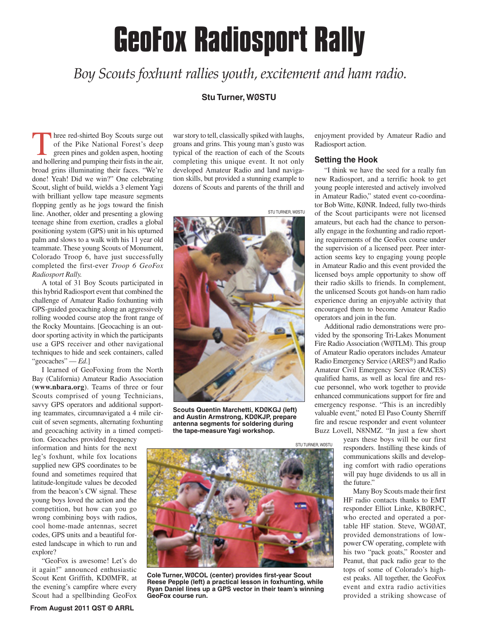# **GeoFox Radiosport Rally**

*Boy Scouts foxhunt rallies youth, excitement and ham radio.*

# **Stu Turner, WØSTU**

Three red-shirted Boy Scouts surge out<br>
of the Pike National Forest's deep<br>
green pines and golden aspen, hooting<br>
and bollering and numing their fate in the oir of the Pike National Forest's deep and hollering and pumping their fists in the air, broad grins illuminating their faces. "We're done! Yeah! Did we win?" One celebrating Scout, slight of build, wields a 3 element Yagi with brilliant yellow tape measure segments flopping gently as he jogs toward the finish line. Another, older and presenting a glowing teenage shine from exertion, cradles a global positioning system (GPS) unit in his upturned palm and slows to a walk with his 11 year old teammate. These young Scouts of Monument, Colorado Troop 6, have just successfully completed the first-ever *Troop 6 GeoFox Radiosport Rally.*

A total of 31 Boy Scouts participated in this hybrid Radiosport event that combined the challenge of Amateur Radio foxhunting with GPS-guided geocaching along an aggressively rolling wooded course atop the front range of the Rocky Mountains. [Geocaching is an outdoor sporting activity in which the participants use a GPS receiver and other navigational techniques to hide and seek containers, called "geocaches" — *Ed*.]

I learned of GeoFoxing from the North Bay (California) Amateur Radio Association (**www.nbara.org**). Teams of three or four Scouts comprised of young Technicians, savvy GPS operators and additional supporting teammates, circumnavigated a 4 mile circuit of seven segments, alternating foxhunting and geocaching activity in a timed competi-

tion. Geocaches provided frequency information and hints for the next leg's foxhunt, while fox locations supplied new GPS coordinates to be found and sometimes required that latitude-longitude values be decoded from the beacon's CW signal. These young boys loved the action and the competition, but how can you go wrong combining boys with radios, cool home-made antennas, secret codes, GPS units and a beautiful forested landscape in which to run and explore?

"GeoFox is awesome! Let's do it again!" announced enthusiastic Scout Kent Griffith, KDØMFR, at the evening's campfire where every Scout had a spellbinding GeoFox

war story to tell, classically spiked with laughs, groans and grins. This young man's gusto was typical of the reaction of each of the Scouts completing this unique event. It not only developed Amateur Radio and land navigation skills, but provided a stunning example to dozens of Scouts and parents of the thrill and



**Scouts Quentin Marchetti, KDØKGJ (left) and Austin Armstrong, KDØKJP, prepare antenna segments for soldering during the tape-measure Yagi workshop.**



**Cole Turner, WØCOL (center) provides first-year Scout Reese Pepple (left) a practical lesson in foxhunting, while Ryan Daniel lines up a GPS vector in their team's winning GeoFox course run.**

enjoyment provided by Amateur Radio and Radiosport action.

#### **Setting the Hook**

"I think we have the seed for a really fun new Radiosport, and a terrific hook to get young people interested and actively involved in Amateur Radio," stated event co-coordinator Bob Witte, KØNR. Indeed, fully two-thirds of the Scout participants were not licensed amateurs, but each had the chance to personally engage in the foxhunting and radio reporting requirements of the GeoFox course under the supervision of a licensed peer. Peer interaction seems key to engaging young people in Amateur Radio and this event provided the licensed boys ample opportunity to show off their radio skills to friends. In complement, the unlicensed Scouts got hands-on ham radio experience during an enjoyable activity that encouraged them to become Amateur Radio operators and join in the fun.

Additional radio demonstrations were provided by the sponsoring Tri-Lakes Monument Fire Radio Association (WØTLM). This group of Amateur Radio operators includes Amateur Radio Emergency Service (ARES®) and Radio Amateur Civil Emergency Service (RACES) qualified hams, as well as local fire and rescue personnel, who work together to provide enhanced communications support for fire and emergency response. "This is an incredibly valuable event," noted El Paso County Sherriff fire and rescue responder and event volunteer Buzz Lovell, N8NMZ. "In just a few short

> years these boys will be our first responders. Instilling these kinds of communications skills and developing comfort with radio operations will pay huge dividends to us all in the future."

> Many Boy Scouts made their first HF radio contacts thanks to EMT responder Elliot Linke, KBØRFC, who erected and operated a portable HF station. Steve, WGØAT, provided demonstrations of lowpower CW operating, complete with his two "pack goats," Rooster and Peanut, that pack radio gear to the tops of some of Colorado's highest peaks. All together, the GeoFox event and extra radio activities provided a striking showcase of

STU TURNER, WØSTU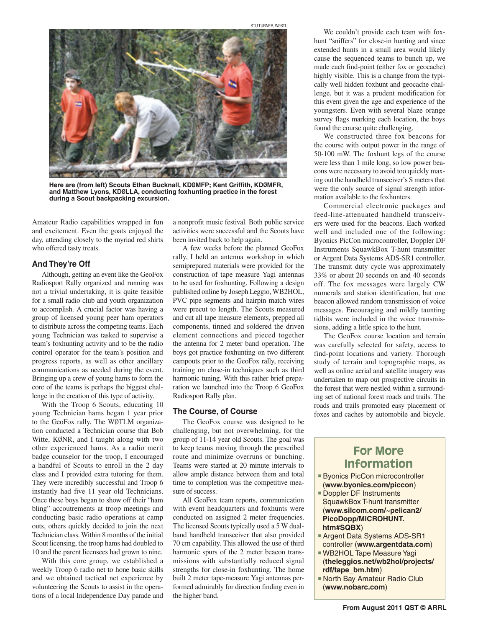

**Here are (from left) Scouts Ethan Bucknall, KDØMFP; Kent Griffith, KDØMFR, and Matthew Lyons, KDØLLA, conducting foxhunting practice in the forest during a Scout backpacking excursion.** 

Amateur Radio capabilities wrapped in fun and excitement. Even the goats enjoyed the day, attending closely to the myriad red shirts who offered tasty treats.

## **And They're Off**

Although, getting an event like the GeoFox Radiosport Rally organized and running was not a trivial undertaking, it is quite feasible for a small radio club and youth organization to accomplish. A crucial factor was having a group of licensed young peer ham operators to distribute across the competing teams. Each young Technician was tasked to supervise a team's foxhunting activity and to be the radio control operator for the team's position and progress reports, as well as other ancillary communications as needed during the event. Bringing up a crew of young hams to form the core of the teams is perhaps the biggest challenge in the creation of this type of activity.

With the Troop 6 Scouts, educating 10 young Technician hams began 1 year prior to the GeoFox rally. The WØTLM organization conducted a Technician course that Bob Witte, KØNR, and I taught along with two other experienced hams. As a radio merit badge counselor for the troop, I encouraged a handful of Scouts to enroll in the 2 day class and I provided extra tutoring for them. They were incredibly successful and Troop 6 instantly had five 11 year old Technicians. Once these boys began to show off their "ham bling" accoutrements at troop meetings and conducting basic radio operations at camp outs, others quickly decided to join the next Technician class. Within 8 months of the initial Scout licensing, the troop hams had doubled to 10 and the parent licensees had grown to nine.

With this core group, we established a weekly Troop 6 radio net to hone basic skills and we obtained tactical net experience by volunteering the Scouts to assist in the operations of a local Independence Day parade and a nonprofit music festival. Both public service activities were successful and the Scouts have been invited back to help again.

STU TURNER, WØSTU

A few weeks before the planned GeoFox rally, I held an antenna workshop in which semiprepared materials were provided for the construction of tape measure Yagi antennas to be used for foxhunting. Following a design published online by Joseph Leggio, WB2HOL, PVC pipe segments and hairpin match wires were precut to length. The Scouts measured and cut all tape measure elements, prepped all components, tinned and soldered the driven element connections and pieced together the antenna for 2 meter band operation. The boys got practice foxhunting on two different campouts prior to the GeoFox rally, receiving training on close-in techniques such as third harmonic tuning. With this rather brief preparation we launched into the Troop 6 GeoFox Radiosport Rally plan.

## **The Course, of Course**

The GeoFox course was designed to be challenging, but not overwhelming, for the group of 11-14 year old Scouts. The goal was to keep teams moving through the prescribed route and minimize overruns or bunching. Teams were started at 20 minute intervals to allow ample distance between them and total time to completion was the competitive measure of success.

All GeoFox team reports, communication with event headquarters and foxhunts were conducted on assigned 2 meter frequencies. The licensed Scouts typically used a 5 W dualband handheld transceiver that also provided 70 cm capability. This allowed the use of third harmonic spurs of the 2 meter beacon transmissions with substantially reduced signal strengths for close-in foxhunting. The home built 2 meter tape-measure Yagi antennas performed admirably for direction finding even in the higher band.

We couldn't provide each team with foxhunt "sniffers" for close-in hunting and since extended hunts in a small area would likely cause the sequenced teams to bunch up, we made each find-point (either fox or geocache) highly visible. This is a change from the typically well hidden foxhunt and geocache challenge, but it was a prudent modification for this event given the age and experience of the youngsters. Even with several blaze orange survey flags marking each location, the boys found the course quite challenging.

We constructed three fox beacons for the course with output power in the range of 50-100 mW. The foxhunt legs of the course were less than 1 mile long, so low power beacons were necessary to avoid too quickly maxing out the handheld transceiver's S meters that were the only source of signal strength information available to the foxhunters.

Commercial electronic packages and feed-line-attenuated handheld transceivers were used for the beacons. Each worked well and included one of the following: Byonics PicCon microcontroller, Doppler DF Instruments SquawkBox T-hunt transmitter or Argent Data Systems ADS-SR1 controller. The transmit duty cycle was approximately 33% or about 20 seconds on and 40 seconds off. The fox messages were largely CW numerals and station identification, but one beacon allowed random transmission of voice messages. Encouraging and mildly taunting tidbits were included in the voice transmissions, adding a little spice to the hunt.

The GeoFox course location and terrain was carefully selected for safety, access to find-point locations and variety. Thorough study of terrain and topographic maps, as well as online aerial and satellite imagery was undertaken to map out prospective circuits in the forest that were nestled within a surrounding set of national forest roads and trails. The roads and trails promoted easy placement of foxes and caches by automobile and bicycle.

# For More Information

- **Byonics PicCon microcontroller** (**www.byonics.com/piccon**)
- Doppler DF Instruments SquawkBox T-hunt transmitter (**www.silcom.com/~pelican2/ PicoDopp/MICROHUNT. htm#SQBX**)
- **Argent Data Systems ADS-SR1** controller (**www.argentdata.com**)
- WB2HOL Tape Measure Yagi (**theleggios.net/wb2hol/projects/ rdf/tape\_bm.htm**)
- **North Bay Amateur Radio Club** (**www.nobarc.com**)